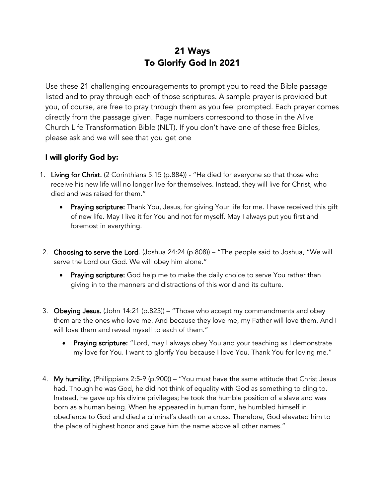## 21 Ways To Glorify God In 2021

Use these 21 challenging encouragements to prompt you to read the Bible passage listed and to pray through each of those scriptures. A sample prayer is provided but you, of course, are free to pray through them as you feel prompted. Each prayer comes directly from the passage given. Page numbers correspond to those in the Alive Church Life Transformation Bible (NLT). If you don't have one of these free Bibles, please ask and we will see that you get one

## I will glorify God by:

- 1. Living for Christ. (2 Corinthians 5:15 (p.884)) "He died for everyone so that those who receive his new life will no longer live for themselves. Instead, they will live for Christ, who died and was raised for them."
	- Praying scripture: Thank You, Jesus, for giving Your life for me. I have received this gift of new life. May I live it for You and not for myself. May I always put you first and foremost in everything.
- 2. Choosing to serve the Lord. (Joshua 24:24 (p.808)) "The people said to Joshua, "We will serve the Lord our God. We will obey him alone."
	- Praying scripture: God help me to make the daily choice to serve You rather than giving in to the manners and distractions of this world and its culture.
- 3. Obeying Jesus. (John 14:21 (p.823)) "Those who accept my commandments and obey them are the ones who love me. And because they love me, my Father will love them. And I will love them and reveal myself to each of them."
	- Praying scripture: "Lord, may I always obey You and your teaching as I demonstrate my love for You. I want to glorify You because I love You. Thank You for loving me."
- 4. My humility. (Philippians 2:5-9 (p.900)) "You must have the same attitude that Christ Jesus had. Though he was God, he did not think of equality with God as something to cling to. Instead, he gave up his divine privileges; he took the humble position of a slave and was born as a human being. When he appeared in human form, he humbled himself in obedience to God and died a criminal's death on a cross. Therefore, God elevated him to the place of highest honor and gave him the name above all other names."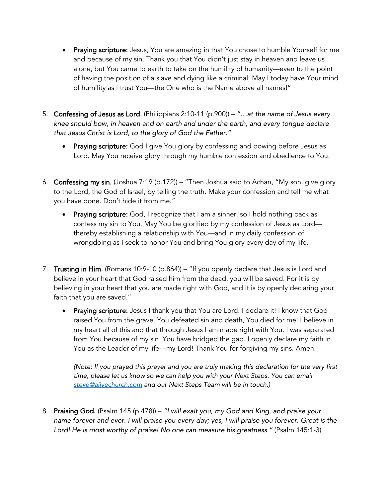- Praying scripture: Jesus, You are amazing in that You chose to humble Yourself for me and because of my sin. Thank you that You didn't just stay in heaven and leave us alone, but You came to earth to take on the humility of humanity—even to the point of having the position of a slave and dying like a criminal. May I today have Your mind of humility as I trust You—the One who is the Name above all names!"
- 5. Confessing of Jesus as Lord. (Philippians 2:10-11 (p.900)) *"…at the name of Jesus every knee should bow, in heaven and on earth and under the earth, and every tongue declare that Jesus Christ is Lord, to the glory of God the Father."*
	- Praying scripture: God I give You glory by confessing and bowing before Jesus as Lord. May You receive glory through my humble confession and obedience to You.
- 6. Confessing my sin. (Joshua 7:19 (p.172)) "Then Joshua said to Achan, "My son, give glory to the Lord, the God of Israel, by telling the truth. Make your confession and tell me what you have done. Don't hide it from me."
	- Praying scripture: God, I recognize that I am a sinner, so I hold nothing back as confess my sin to You. May You be glorified by my confession of Jesus as Lord thereby establishing a relationship with You—and in my daily confession of wrongdoing as I seek to honor You and bring You glory every day of my life.
- 7. Trusting in Him. (Romans 10:9-10 (p.864)) "If you openly declare that Jesus is Lord and believe in your heart that God raised him from the dead, you will be saved. For it is by believing in your heart that you are made right with God, and it is by openly declaring your faith that you are saved."
	- Praying scripture: Jesus I thank you that You are Lord. I declare it! I know that God raised You from the grave. You defeated sin and death, You died for me! I believe in my heart all of this and that through Jesus I am made right with You. I was separated from You because of my sin. You have bridged the gap. I openly declare my faith in You as the Leader of my life—my Lord! Thank You for forgiving my sins. Amen.

*(Note: If you prayed this prayer and you are truly making this declaration for the very first time, please let us know so we can help you with your Next Steps. You can email steve@alivechurch.com and our Next Steps Team will be in touch.)*

8. Praising God. (Psalm 145 (p.478)) – *"I will exalt you, my God and King, and praise your name forever and ever. I will praise you every day; yes, I will praise you forever. Great is the Lord! He is most worthy of praise! No one can measure his greatness."* (Psalm 145:1-3)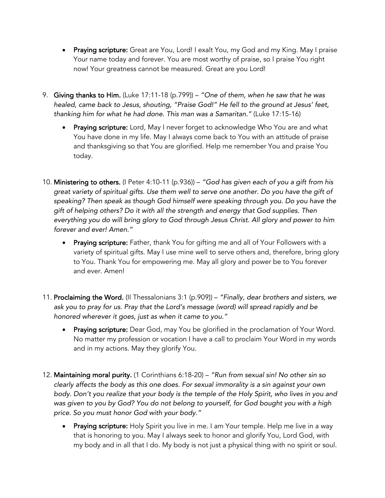- Praying scripture: Great are You, Lord! I exalt You, my God and my King. May I praise Your name today and forever. You are most worthy of praise, so I praise You right now! Your greatness cannot be measured. Great are you Lord!
- 9. Giving thanks to Him. (Luke 17:11-18 (p.799)) *"One of them, when he saw that he was healed, came back to Jesus, shouting, "Praise God!" He fell to the ground at Jesus' feet, thanking him for what he had done. This man was a Samaritan."* (Luke 17:15-16)
	- Praying scripture: Lord, May I never forget to acknowledge Who You are and what You have done in my life. May I always come back to You with an attitude of praise and thanksgiving so that You are glorified. Help me remember You and praise You today.
- 10. Ministering to others. (I Peter 4:10-11 (p.936)) *"God has given each of you a gift from his great variety of spiritual gifts. Use them well to serve one another. Do you have the gift of speaking? Then speak as though God himself were speaking through you. Do you have the gift of helping others? Do it with all the strength and energy that God supplies. Then everything you do will bring glory to God through Jesus Christ. All glory and power to him forever and ever! Amen."*
	- Praying scripture: Father, thank You for gifting me and all of Your Followers with a variety of spiritual gifts. May I use mine well to serve others and, therefore, bring glory to You. Thank You for empowering me. May all glory and power be to You forever and ever. Amen!
- 11. Proclaiming the Word. (II Thessalonians 3:1 (p.909)) *"Finally, dear brothers and sisters, we ask you to pray for us. Pray that the Lord's message (word) will spread rapidly and be honored wherever it goes, just as when it came to you."*
	- Praying scripture: Dear God, may You be glorified in the proclamation of Your Word. No matter my profession or vocation I have a call to proclaim Your Word in my words and in my actions. May they glorify You.
- 12. Maintaining moral purity. (1 Corinthians 6:18-20) *"Run from sexual sin! No other sin so clearly affects the body as this one does. For sexual immorality is a sin against your own body. Don't you realize that your body is the temple of the Holy Spirit, who lives in you and was given to you by God? You do not belong to yourself, for God bought you with a high price. So you must honor God with your body."*
	- Praying scripture: Holy Spirit you live in me. I am Your temple. Help me live in a way that is honoring to you. May I always seek to honor and glorify You, Lord God, with my body and in all that I do. My body is not just a physical thing with no spirit or soul.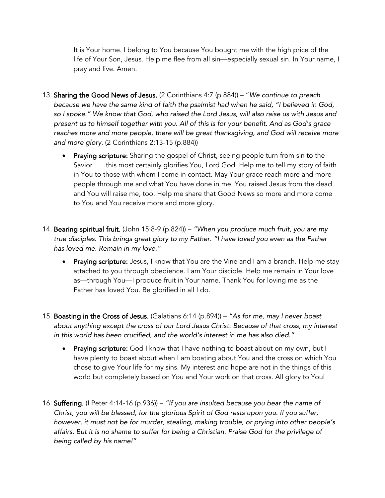It is Your home. I belong to You because You bought me with the high price of the life of Your Son, Jesus. Help me flee from all sin—especially sexual sin. In Your name, I pray and live. Amen.

- 13. Sharing the Good News of Jesus. (2 Corinthians 4:7 (p.884)) "*We continue to preach because we have the same kind of faith the psalmist had when he said, "I believed in God, so I spoke." We know that God, who raised the Lord Jesus, will also raise us with Jesus and present us to himself together with you. All of this is for your benefit. And as God's grace*  reaches more and more people, there will be great thanksgiving, and God will receive more *and more glory.* (2 Corinthians 2:13-15 (p.884))
	- Praying scripture: Sharing the gospel of Christ, seeing people turn from sin to the Savior . . . this most certainly glorifies You, Lord God. Help me to tell my story of faith in You to those with whom I come in contact. May Your grace reach more and more people through me and what You have done in me. You raised Jesus from the dead and You will raise me, too. Help me share that Good News so more and more come to You and You receive more and more glory.
- 14. Bearing spiritual fruit. (John 15:8-9 (p.824)) *"When you produce much fruit, you are my true disciples. This brings great glory to my Father. "I have loved you even as the Father has loved me. Remain in my love."*
	- Praying scripture: Jesus, I know that You are the Vine and I am a branch. Help me stay attached to you through obedience. I am Your disciple. Help me remain in Your love as—through You—I produce fruit in Your name. Thank You for loving me as the Father has loved You. Be glorified in all I do.
- 15. Boasting in the Cross of Jesus. (Galatians 6:14 (p.894)) *"As for me, may I never boast about anything except the cross of our Lord Jesus Christ. Because of that cross, my interest in this world has been crucified, and the world's interest in me has also died."*
	- Praying scripture: God I know that I have nothing to boast about on my own, but I have plenty to boast about when I am boating about You and the cross on which You chose to give Your life for my sins. My interest and hope are not in the things of this world but completely based on You and Your work on that cross. All glory to You!
- 16. Suffering. (I Peter 4:14-16 (p.936)) *"If you are insulted because you bear the name of Christ, you will be blessed, for the glorious Spirit of God rests upon you. If you suffer, however, it must not be for murder, stealing, making trouble, or prying into other people's affairs. But it is no shame to suffer for being a Christian. Praise God for the privilege of being called by his name!"*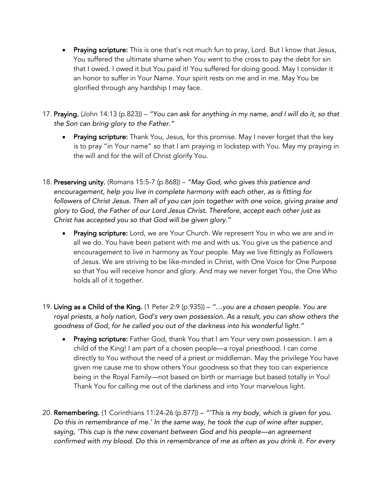- Praying scripture: This is one that's not much fun to pray, Lord. But I know that Jesus, You suffered the ultimate shame when You went to the cross to pay the debt for sin that I owed. I owed it but You paid it! You suffered for doing good. May I consider it an honor to suffer in Your Name. Your spirit rests on me and in me. May You be glorified through any hardship I may face.
- 17. Praying. (John 14:13 (p.823)) *"You can ask for anything in my name, and I will do it, so that the Son can bring glory to the Father."*
	- Praying scripture: Thank You, Jesus, for this promise. May I never forget that the key is to pray "in Your name" so that I am praying in lockstep with You. May my praying in the will and for the will of Christ glorify You.
- 18. Preserving unity. (Romans 15:5-7 (p.868)) *"May God, who gives this patience and encouragement, help you live in complete harmony with each other, as is fitting for*  followers of Christ Jesus. Then all of you can join together with one voice, giving praise and *glory to God, the Father of our Lord Jesus Christ. Therefore, accept each other just as Christ has accepted you so that God will be given glory."*
	- Praying scripture: Lord, we are Your Church. We represent You in who we are and in all we do. You have been patient with me and with us. You give us the patience and encouragement to live in harmony as Your people. May we live fittingly as Followers of Jesus. We are striving to be like-minded in Christ, with One Voice for One Purpose so that You will receive honor and glory. And may we never forget You, the One Who holds all of it together.
- 19. Living as a Child of the King. (1 Peter 2:9 (p.935)) *"…you are a chosen people. You are royal priests, a holy nation, God's very own possession. As a result, you can show others the goodness of God, for he called you out of the darkness into his wonderful light."*
	- Praying scripture: Father God, thank You that I am Your very own possession. I am a child of the King! I am part of a chosen people—a royal priesthood. I can come directly to You without the need of a priest or middleman. May the privilege You have given me cause me to show others Your goodness so that they too can experience being in the Royal Family—not based on birth or marriage but based totally in You! Thank You for calling me out of the darkness and into Your marvelous light.
- 20. Remembering. (1 Corinthians 11:24-26 (p.877)) *"'This is my body, which is given for you. Do this in remembrance of me.' In the same way, he took the cup of wine after supper, saying, 'This cup is the new covenant between God and his people—an agreement confirmed with my blood. Do this in remembrance of me as often as you drink it. For every*